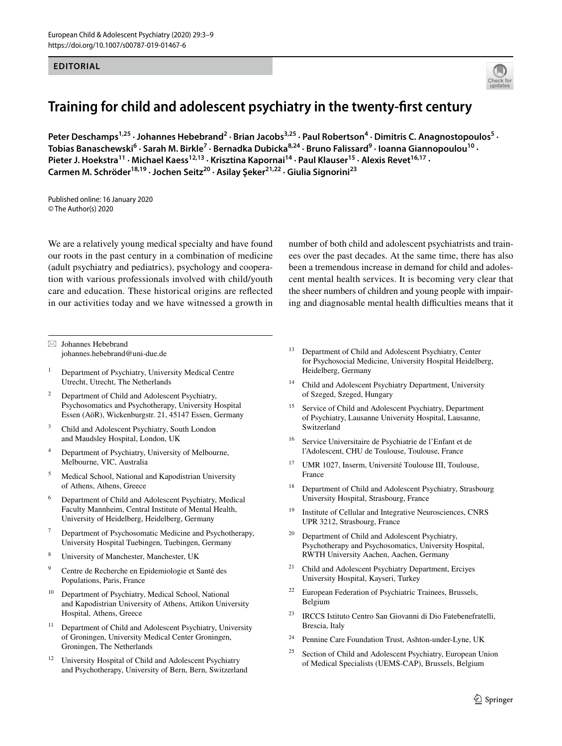#### **EDITORIAL**



# **Training for child and adolescent psychiatry in the twenty‑frst century**

Peter Deschamps<sup>1,25</sup> · Johannes Hebebrand<sup>2</sup> · Brian Jacobs<sup>3,25</sup> · Paul Robertson<sup>4</sup> · Dimitris C. Anagnostopoulos<sup>5</sup> · Tobias Banaschewski<sup>6</sup> · Sarah M. Birkle<sup>7</sup> · Bernadka Dubicka<sup>8,24</sup> · Bruno Falissard<sup>9</sup> · Ioanna Giannopoulou<sup>10</sup> · Pieter J. Hoekstra<sup>11</sup> · Michael Kaess<sup>12,13</sup> · Krisztina Kapornai<sup>14</sup> · Paul Klauser<sup>15</sup> · Alexis Revet<sup>16,17</sup> · **Carmen M. Schröder18,19 · Jochen Seitz20 · Asilay Şeker21,22 · Giulia Signorini23**

Published online: 16 January 2020 © The Author(s) 2020

We are a relatively young medical specialty and have found our roots in the past century in a combination of medicine (adult psychiatry and pediatrics), psychology and cooperation with various professionals involved with child/youth care and education. These historical origins are refected in our activities today and we have witnessed a growth in number of both child and adolescent psychiatrists and trainees over the past decades. At the same time, there has also been a tremendous increase in demand for child and adolescent mental health services. It is becoming very clear that the sheer numbers of children and young people with impairing and diagnosable mental health difficulties means that it

 $\boxtimes$  Johannes Hebebrand johannes.hebebrand@uni‑due.de

- <sup>1</sup> Department of Psychiatry, University Medical Centre Utrecht, Utrecht, The Netherlands
- <sup>2</sup> Department of Child and Adolescent Psychiatry, Psychosomatics and Psychotherapy, University Hospital Essen (AöR), Wickenburgstr. 21, 45147 Essen, Germany
- <sup>3</sup> Child and Adolescent Psychiatry, South London and Maudsley Hospital, London, UK
- Department of Psychiatry, University of Melbourne, Melbourne, VIC, Australia
- <sup>5</sup> Medical School, National and Kapodistrian University of Athens, Athens, Greece
- <sup>6</sup> Department of Child and Adolescent Psychiatry, Medical Faculty Mannheim, Central Institute of Mental Health, University of Heidelberg, Heidelberg, Germany
- Department of Psychosomatic Medicine and Psychotherapy, University Hospital Tuebingen, Tuebingen, Germany
- <sup>8</sup> University of Manchester, Manchester, UK
- <sup>9</sup> Centre de Recherche en Epidemiologie et Santé des Populations, Paris, France
- <sup>10</sup> Department of Psychiatry, Medical School, National and Kapodistrian University of Athens, Attikon University Hospital, Athens, Greece
- <sup>11</sup> Department of Child and Adolescent Psychiatry, University of Groningen, University Medical Center Groningen, Groningen, The Netherlands
- <sup>12</sup> University Hospital of Child and Adolescent Psychiatry and Psychotherapy, University of Bern, Bern, Switzerland
- <sup>13</sup> Department of Child and Adolescent Psychiatry, Center for Psychosocial Medicine, University Hospital Heidelberg, Heidelberg, Germany
- <sup>14</sup> Child and Adolescent Psychiatry Department, University of Szeged, Szeged, Hungary
- <sup>15</sup> Service of Child and Adolescent Psychiatry, Department of Psychiatry, Lausanne University Hospital, Lausanne, Switzerland
- <sup>16</sup> Service Universitaire de Psychiatrie de l'Enfant et de l'Adolescent, CHU de Toulouse, Toulouse, France
- <sup>17</sup> UMR 1027, Inserm, Université Toulouse III, Toulouse, France
- <sup>18</sup> Department of Child and Adolescent Psychiatry, Strasbourg University Hospital, Strasbourg, France
- <sup>19</sup> Institute of Cellular and Integrative Neurosciences, CNRS UPR 3212, Strasbourg, France
- <sup>20</sup> Department of Child and Adolescent Psychiatry, Psychotherapy and Psychosomatics, University Hospital, RWTH University Aachen, Aachen, Germany
- <sup>21</sup> Child and Adolescent Psychiatry Department, Erciyes University Hospital, Kayseri, Turkey
- <sup>22</sup> European Federation of Psychiatric Trainees, Brussels, Belgium
- <sup>23</sup> IRCCS Istituto Centro San Giovanni di Dio Fatebenefratelli, Brescia, Italy
- <sup>24</sup> Pennine Care Foundation Trust, Ashton-under-Lyne, UK
- $25$  Section of Child and Adolescent Psychiatry, European Union of Medical Specialists (UEMS-CAP), Brussels, Belgium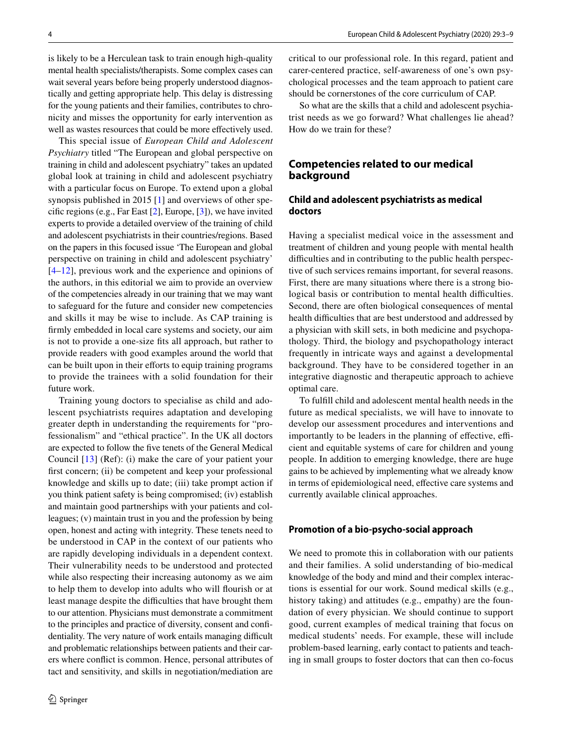is likely to be a Herculean task to train enough high-quality mental health specialists/therapists. Some complex cases can wait several years before being properly understood diagnostically and getting appropriate help. This delay is distressing for the young patients and their families, contributes to chronicity and misses the opportunity for early intervention as well as wastes resources that could be more efectively used.

This special issue of *European Child and Adolescent Psychiatry* titled "The European and global perspective on training in child and adolescent psychiatry" takes an updated global look at training in child and adolescent psychiatry with a particular focus on Europe. To extend upon a global synopsis published in 2015  $[1]$  $[1]$  and overviews of other specifc regions (e.g., Far East [\[2\]](#page-6-1), Europe, [[3\]](#page-6-2)), we have invited experts to provide a detailed overview of the training of child and adolescent psychiatrists in their countries/regions. Based on the papers in this focused issue 'The European and global perspective on training in child and adolescent psychiatry' [\[4–](#page-6-3)[12\]](#page-6-4), previous work and the experience and opinions of the authors, in this editorial we aim to provide an overview of the competencies already in our training that we may want to safeguard for the future and consider new competencies and skills it may be wise to include. As CAP training is frmly embedded in local care systems and society, our aim is not to provide a one-size fts all approach, but rather to provide readers with good examples around the world that can be built upon in their efforts to equip training programs to provide the trainees with a solid foundation for their future work.

Training young doctors to specialise as child and adolescent psychiatrists requires adaptation and developing greater depth in understanding the requirements for "professionalism" and "ethical practice". In the UK all doctors are expected to follow the fve tenets of the General Medical Council [[13](#page-6-5)] (Ref): (i) make the care of your patient your first concern; (ii) be competent and keep your professional knowledge and skills up to date; (iii) take prompt action if you think patient safety is being compromised; (iv) establish and maintain good partnerships with your patients and colleagues; (v) maintain trust in you and the profession by being open, honest and acting with integrity. These tenets need to be understood in CAP in the context of our patients who are rapidly developing individuals in a dependent context. Their vulnerability needs to be understood and protected while also respecting their increasing autonomy as we aim to help them to develop into adults who will fourish or at least manage despite the difficulties that have brought them to our attention. Physicians must demonstrate a commitment to the principles and practice of diversity, consent and confidentiality. The very nature of work entails managing difficult and problematic relationships between patients and their carers where confict is common. Hence, personal attributes of tact and sensitivity, and skills in negotiation/mediation are

critical to our professional role. In this regard, patient and carer-centered practice, self-awareness of one's own psychological processes and the team approach to patient care should be cornerstones of the core curriculum of CAP.

So what are the skills that a child and adolescent psychia– trist needs as we go forward? What challenges lie ahead? How do we train for these?

# **Competencies related to our medical background**

# **Child and adolescent psychiatrists as medical doctors**

Having a specialist medical voice in the assessment and treatment of children and young people with mental health difficulties and in contributing to the public health perspective of such services remains important, for several reasons. First, there are many situations where there is a strong biological basis or contribution to mental health difficulties. Second, there are often biological consequences of mental health difficulties that are best understood and addressed by a physician with skill sets, in both medicine and psychopathology. Third, the biology and psychopathology interact frequently in intricate ways and against a developmental background. They have to be considered together in an integrative diagnostic and therapeutic approach to achieve optimal care.

To fulfll child and adolescent mental health needs in the future as medical specialists, we will have to innovate to develop our assessment procedures and interventions and importantly to be leaders in the planning of effective, efficient and equitable systems of care for children and young people. In addition to emerging knowledge, there are huge gains to be achieved by implementing what we already know in terms of epidemiological need, efective care systems and currently available clinical approaches.

#### **Promotion of a bio‑psycho‑social approach**

We need to promote this in collaboration with our patients and their families. A solid understanding of bio-medical knowledge of the body and mind and their complex interactions is essential for our work. Sound medical skills (e.g., history taking) and attitudes (e.g., empathy) are the foundation of every physician. We should continue to support good, current examples of medical training that focus on medical students' needs. For example, these will include problem-based learning, early contact to patients and teaching in small groups to foster doctors that can then co-focus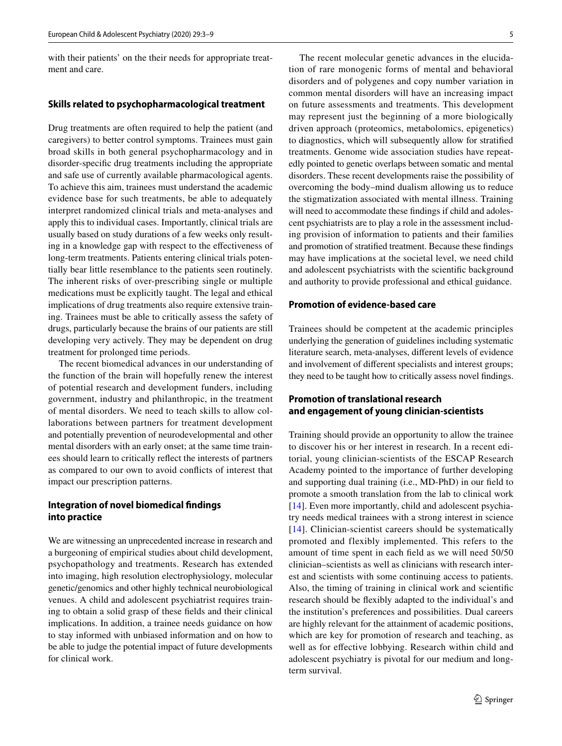with their patients' on the their needs for appropriate treat– ment and care.

#### **Skills related to psychopharmacological treatment**

Drug treatments are often required to help the patient (and caregivers) to better control symptoms. Trainees must gain broad skills in both general psychopharmacology and in disorder-specifc drug treatments including the appropriate and safe use of currently available pharmacological agents. To achieve this aim, trainees must understand the academic evidence base for such treatments, be able to adequately interpret randomized clinical trials and meta-analyses and apply this to individual cases. Importantly, clinical trials are usually based on study durations of a few weeks only resulting in a knowledge gap with respect to the efectiveness of long-term treatments. Patients entering clinical trials potentially bear little resemblance to the patients seen routinely. The inherent risks of over-prescribing single or multiple medications must be explicitly taught. The legal and ethical implications of drug treatments also require extensive train– ing. Trainees must be able to critically assess the safety of drugs, particularly because the brains of our patients are still developing very actively. They may be dependent on drug treatment for prolonged time periods.

The recent biomedical advances in our understanding of the function of the brain will hopefully renew the interest of potential research and development funders, including government, industry and philanthropic, in the treatment of mental disorders. We need to teach skills to allow collaborations between partners for treatment development and potentially prevention of neurodevelopmental and other mental disorders with an early onset; at the same time trainees should learn to critically refect the interests of partners as compared to our own to avoid conficts of interest that impact our prescription patterns.

### **Integration of novel biomedical fndings into practice**

We are witnessing an unprecedented increase in research and a burgeoning of empirical studies about child development, psychopathology and treatments. Research has extended into imaging, high resolution electrophysiology, molecular genetic/genomics and other highly technical neurobiological venues. A child and adolescent psychiatrist requires training to obtain a solid grasp of these felds and their clinical implications. In addition, a trainee needs guidance on how to stay informed with unbiased information and on how to be able to judge the potential impact of future developments for clinical work.

The recent molecular genetic advances in the elucidation of rare monogenic forms of mental and behavioral disorders and of polygenes and copy number variation in common mental disorders will have an increasing impact on future assessments and treatments. This development may represent just the beginning of a more biologically driven approach (proteomics, metabolomics, epigenetics) to diagnostics, which will subsequently allow for stratifed treatments. Genome wide association studies have repeatedly pointed to genetic overlaps between somatic and mental disorders. These recent developments raise the possibility of overcoming the body–mind dualism allowing us to reduce the stigmatization associated with mental illness. Training will need to accommodate these findings if child and adolescent psychiatrists are to play a role in the assessment including provision of information to patients and their families and promotion of stratifed treatment. Because these fndings may have implications at the societal level, we need child and adolescent psychiatrists with the scientifc background and authority to provide professional and ethical guidance.

#### **Promotion of evidence‑based care**

Trainees should be competent at the academic principles underlying the generation of guidelines including systematic literature search, meta-analyses, diferent levels of evidence and involvement of diferent specialists and interest groups; they need to be taught how to critically assess novel fndings.

### **Promotion of translational research and engagement of young clinician‑scientists**

Training should provide an opportunity to allow the trainee to discover his or her interest in research. In a recent editorial, young clinician-scientists of the ESCAP Research Academy pointed to the importance of further developing and supporting dual training (i.e., MD-PhD) in our feld to promote a smooth translation from the lab to clinical work [[14\]](#page-6-6). Even more importantly, child and adolescent psychiatry needs medical trainees with a strong interest in science [[14](#page-6-6)]. Clinician-scientist careers should be systematically promoted and flexibly implemented. This refers to the amount of time spent in each feld as we will need 50/50 clinician–scientists as well as clinicians with research interest and scientists with some continuing access to patients. Also, the timing of training in clinical work and scientifc research should be fexibly adapted to the individual's and the institution's preferences and possibilities. Dual careers are highly relevant for the attainment of academic positions, which are key for promotion of research and teaching, as well as for effective lobbying. Research within child and adolescent psychiatry is pivotal for our medium and longterm survival.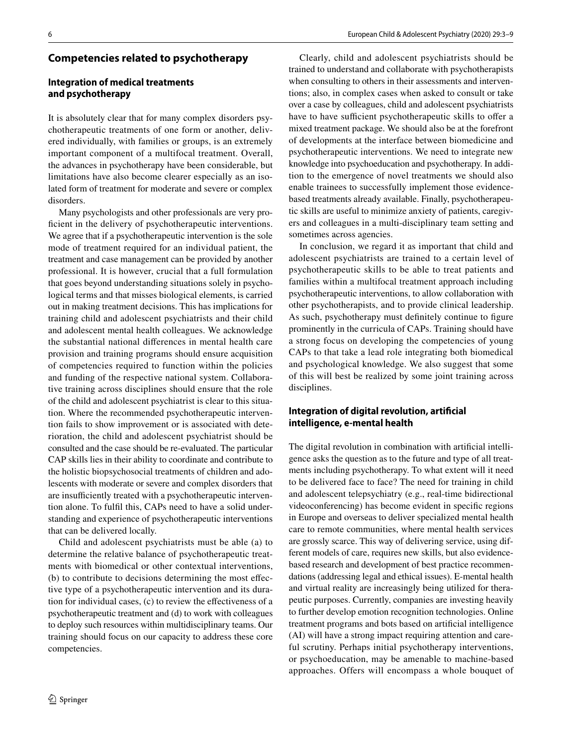## **Integration of medical treatments and psychotherapy**

It is absolutely clear that for many complex disorders psychotherapeutic treatments of one form or another, delivered individually, with families or groups, is an extremely important component of a multifocal treatment. Overall, the advances in psychotherapy have been considerable, but limitations have also become clearer especially as an isolated form of treatment for moderate and severe or complex disorders.

Many psychologists and other professionals are very profcient in the delivery of psychotherapeutic interventions. We agree that if a psychotherapeutic intervention is the sole mode of treatment required for an individual patient, the treatment and case management can be provided by another professional. It is however, crucial that a full formulation that goes beyond understanding situations solely in psychological terms and that misses biological elements, is carried out in making treatment decisions. This has implications for training child and adolescent psychiatrists and their child and adolescent mental health colleagues. We acknowledge the substantial national diferences in mental health care provision and training programs should ensure acquisition of competencies required to function within the policies and funding of the respective national system. Collaborative training across disciplines should ensure that the role of the child and adolescent psychiatrist is clear to this situation. Where the recommended psychotherapeutic intervention fails to show improvement or is associated with deterioration, the child and adolescent psychiatrist should be consulted and the case should be re-evaluated. The particular CAP skills lies in their ability to coordinate and contribute to the holistic biopsychosocial treatments of children and adolescents with moderate or severe and complex disorders that are insufficiently treated with a psychotherapeutic intervention alone. To fulfil this, CAPs need to have a solid understanding and experience of psychotherapeutic interventions that can be delivered locally.

Child and adolescent psychiatrists must be able (a) to determine the relative balance of psychotherapeutic treatments with biomedical or other contextual interventions, (b) to contribute to decisions determining the most effective type of a psychotherapeutic intervention and its duration for individual cases, (c) to review the efectiveness of a psychotherapeutic treatment and (d) to work with colleagues to deploy such resources within multidisciplinary teams. Our training should focus on our capacity to address these core competencies.

Clearly, child and adolescent psychiatrists should be trained to understand and collaborate with psychotherapists when consulting to others in their assessments and interventions; also, in complex cases when asked to consult or take over a case by colleagues, child and adolescent psychiatrists have to have sufficient psychotherapeutic skills to offer a mixed treatment package. We should also be at the forefront of developments at the interface between biomedicine and psychotherapeutic interventions. We need to integrate new knowledge into psychoeducation and psychotherapy. In addition to the emergence of novel treatments we should also enable trainees to successfully implement those evidencebased treatments already available. Finally, psychotherapeutic skills are useful to minimize anxiety of patients, caregivers and colleagues in a multi-disciplinary team setting and sometimes across agencies.

In conclusion, we regard it as important that child and adolescent psychiatrists are trained to a certain level of psychotherapeutic skills to be able to treat patients and families within a multifocal treatment approach including psychotherapeutic interventions, to allow collaboration with other psychotherapists, and to provide clinical leadership. As such, psychotherapy must defnitely continue to fgure prominently in the curricula of CAPs. Training should have a strong focus on developing the competencies of young CAPs to that take a lead role integrating both biomedical and psychological knowledge. We also suggest that some of this will best be realized by some joint training across disciplines.

# **Integration of digital revolution, artifcial intelligence, e‑mental health**

The digital revolution in combination with artificial intelligence asks the question as to the future and type of all treat– ments including psychotherapy. To what extent will it need to be delivered face to face? The need for training in child and adolescent telepsychiatry (e.g., real-time bidirectional videoconferencing) has become evident in specifc regions in Europe and overseas to deliver specialized mental health care to remote communities, where mental health services are grossly scarce. This way of delivering service, using different models of care, requires new skills, but also evidencebased research and development of best practice recommendations (addressing legal and ethical issues). E-mental health and virtual reality are increasingly being utilized for therapeutic purposes. Currently, companies are investing heavily to further develop emotion recognition technologies. Online treatment programs and bots based on artifcial intelligence (AI) will have a strong impact requiring attention and careful scrutiny. Perhaps initial psychotherapy interventions, or psychoeducation, may be amenable to machine-based approaches. Offers will encompass a whole bouquet of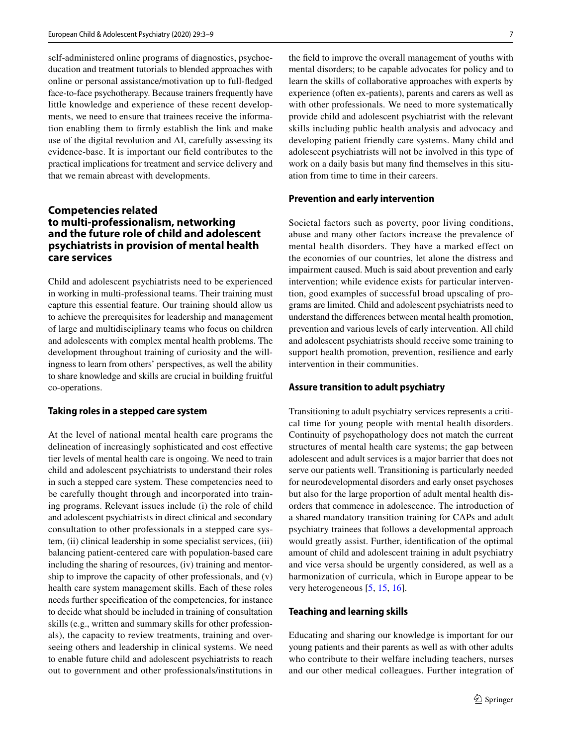self-administered online programs of diagnostics, psychoeducation and treatment tutorials to blended approaches with online or personal assistance/motivation up to full-fedged face-to-face psychotherapy. Because trainers frequently have little knowledge and experience of these recent developments, we need to ensure that trainees receive the information enabling them to frmly establish the link and make use of the digital revolution and AI, carefully assessing its evidence-base. It is important our feld contributes to the practical implications for treatment and service delivery and that we remain abreast with developments.

# **Competencies related to multi‑professionalism, networking and the future role of child and adolescent psychiatrists in provision of mental health care services**

Child and adolescent psychiatrists need to be experienced in working in multi-professional teams. Their training must capture this essential feature. Our training should allow us to achieve the prerequisites for leadership and management of large and multidisciplinary teams who focus on children and adolescents with complex mental health problems. The development throughout training of curiosity and the will– ingness to learn from others' perspectives, as well the ability to share knowledge and skills are crucial in building fruitful co-operations.

#### **Taking roles in a stepped care system**

At the level of national mental health care programs the delineation of increasingly sophisticated and cost efective tier levels of mental health care is ongoing. We need to train child and adolescent psychiatrists to understand their roles in such a stepped care system. These competencies need to be carefully thought through and incorporated into training programs. Relevant issues include (i) the role of child and adolescent psychiatrists in direct clinical and secondary consultation to other professionals in a stepped care system, (ii) clinical leadership in some specialist services, (iii) balancing patient-centered care with population-based care including the sharing of resources, (iv) training and mentorship to improve the capacity of other professionals, and (v) health care system management skills. Each of these roles needs further specifcation of the competencies, for instance to decide what should be included in training of consultation skills (e.g., written and summary skills for other profession– als), the capacity to review treatments, training and overseeing others and leadership in clinical systems. We need to enable future child and adolescent psychiatrists to reach out to government and other professionals/institutions in the feld to improve the overall management of youths with mental disorders; to be capable advocates for policy and to learn the skills of collaborative approaches with experts by experience (often ex-patients), parents and carers as well as with other professionals. We need to more systematically provide child and adolescent psychiatrist with the relevant skills including public health analysis and advocacy and developing patient friendly care systems. Many child and adolescent psychiatrists will not be involved in this type of work on a daily basis but many find themselves in this situation from time to time in their careers.

#### **Prevention and early intervention**

Societal factors such as poverty, poor living conditions, abuse and many other factors increase the prevalence of mental health disorders. They have a marked effect on the economies of our countries, let alone the distress and impairment caused. Much is said about prevention and early intervention; while evidence exists for particular intervention, good examples of successful broad upscaling of programs are limited. Child and adolescent psychiatrists need to understand the diferences between mental health promotion, prevention and various levels of early intervention. All child and adolescent psychiatrists should receive some training to support health promotion, prevention, resilience and early intervention in their communities.

#### **Assure transition to adult psychiatry**

Transitioning to adult psychiatry services represents a critical time for young people with mental health disorders. Continuity of psychopathology does not match the current structures of mental health care systems; the gap between adolescent and adult services is a major barrier that does not serve our patients well. Transitioning is particularly needed for neurodevelopmental disorders and early onset psychoses but also for the large proportion of adult mental health disorders that commence in adolescence. The introduction of a shared mandatory transition training for CAPs and adult psychiatry trainees that follows a developmental approach would greatly assist. Further, identifcation of the optimal amount of child and adolescent training in adult psychiatry and vice versa should be urgently considered, as well as a harmonization of curricula, which in Europe appear to be very heterogeneous [\[5](#page-6-7), [15,](#page-6-8) [16\]](#page-6-9).

#### **Teaching and learning skills**

Educating and sharing our knowledge is important for our young patients and their parents as well as with other adults who contribute to their welfare including teachers, nurses and our other medical colleagues. Further integration of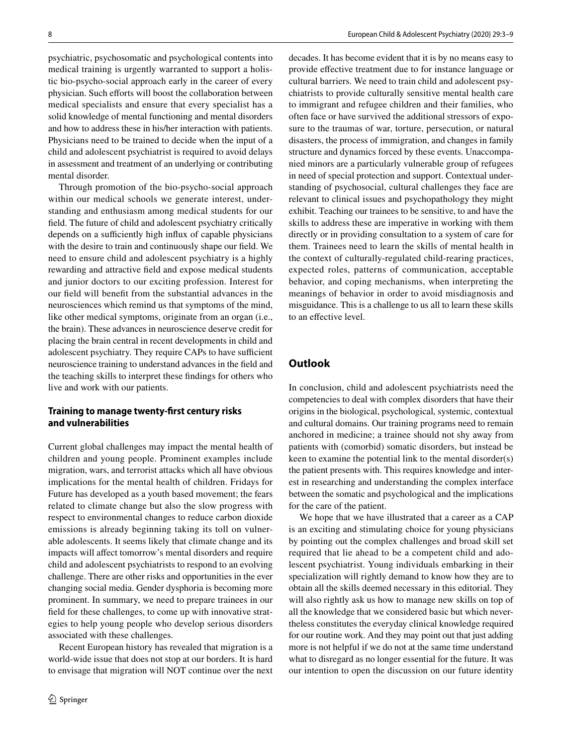psychiatric, psychosomatic and psychological contents into medical training is urgently warranted to support a holistic bio-psycho-social approach early in the career of every physician. Such efforts will boost the collaboration between medical specialists and ensure that every specialist has a solid knowledge of mental functioning and mental disorders and how to address these in his/her interaction with patients. Physicians need to be trained to decide when the input of a child and adolescent psychiatrist is required to avoid delays in assessment and treatment of an underlying or contributing mental disorder.

Through promotion of the bio-psycho-social approach within our medical schools we generate interest, understanding and enthusiasm among medical students for our feld. The future of child and adolescent psychiatry critically depends on a sufficiently high influx of capable physicians with the desire to train and continuously shape our feld. We need to ensure child and adolescent psychiatry is a highly rewarding and attractive feld and expose medical students and junior doctors to our exciting profession. Interest for our feld will beneft from the substantial advances in the neurosciences which remind us that symptoms of the mind, like other medical symptoms, originate from an organ (i.e., the brain). These advances in neuroscience deserve credit for placing the brain central in recent developments in child and adolescent psychiatry. They require CAPs to have sufficient neuroscience training to understand advances in the feld and the teaching skills to interpret these fndings for others who live and work with our patients.

## **Training to manage twenty‑frst century risks and vulnerabilities**

Current global challenges may impact the mental health of children and young people. Prominent examples include migration, wars, and terrorist attacks which all have obvious implications for the mental health of children. Fridays for Future has developed as a youth based movement; the fears related to climate change but also the slow progress with respect to environmental changes to reduce carbon dioxide emissions is already beginning taking its toll on vulnerable adolescents. It seems likely that climate change and its impacts will affect tomorrow's mental disorders and require child and adolescent psychiatrists to respond to an evolving challenge. There are other risks and opportunities in the ever changing social media. Gender dysphoria is becoming more prominent. In summary, we need to prepare trainees in our field for these challenges, to come up with innovative strategies to help young people who develop serious disorders associated with these challenges.

Recent European history has revealed that migration is a world-wide issue that does not stop at our borders. It is hard to envisage that migration will NOT continue over the next decades. It has become evident that it is by no means easy to provide efective treatment due to for instance language or cultural barriers. We need to train child and adolescent psychiatrists to provide culturally sensitive mental health care to immigrant and refugee children and their families, who often face or have survived the additional stressors of exposure to the traumas of war, torture, persecution, or natural disasters, the process of immigration, and changes in family structure and dynamics forced by these events. Unaccompanied minors are a particularly vulnerable group of refugees in need of special protection and support. Contextual understanding of psychosocial, cultural challenges they face are relevant to clinical issues and psychopathology they might exhibit. Teaching our trainees to be sensitive, to and have the skills to address these are imperative in working with them directly or in providing consultation to a system of care for them. Trainees need to learn the skills of mental health in the context of culturally-regulated child-rearing practices, expected roles, patterns of communication, acceptable behavior, and coping mechanisms, when interpreting the meanings of behavior in order to avoid misdiagnosis and misguidance. This is a challenge to us all to learn these skills to an efective level.

# **Outlook**

In conclusion, child and adolescent psychiatrists need the competencies to deal with complex disorders that have their origins in the biological, psychological, systemic, contextual and cultural domains. Our training programs need to remain anchored in medicine; a trainee should not shy away from patients with (comorbid) somatic disorders, but instead be keen to examine the potential link to the mental disorder(s) the patient presents with. This requires knowledge and interest in researching and understanding the complex interface between the somatic and psychological and the implications for the care of the patient.

We hope that we have illustrated that a career as a CAP is an exciting and stimulating choice for young physicians by pointing out the complex challenges and broad skill set required that lie ahead to be a competent child and adolescent psychiatrist. Young individuals embarking in their specialization will rightly demand to know how they are to obtain all the skills deemed necessary in this editorial. They will also rightly ask us how to manage new skills on top of all the knowledge that we considered basic but which nevertheless constitutes the everyday clinical knowledge required for our routine work. And they may point out that just adding more is not helpful if we do not at the same time understand what to disregard as no longer essential for the future. It was our intention to open the discussion on our future identity